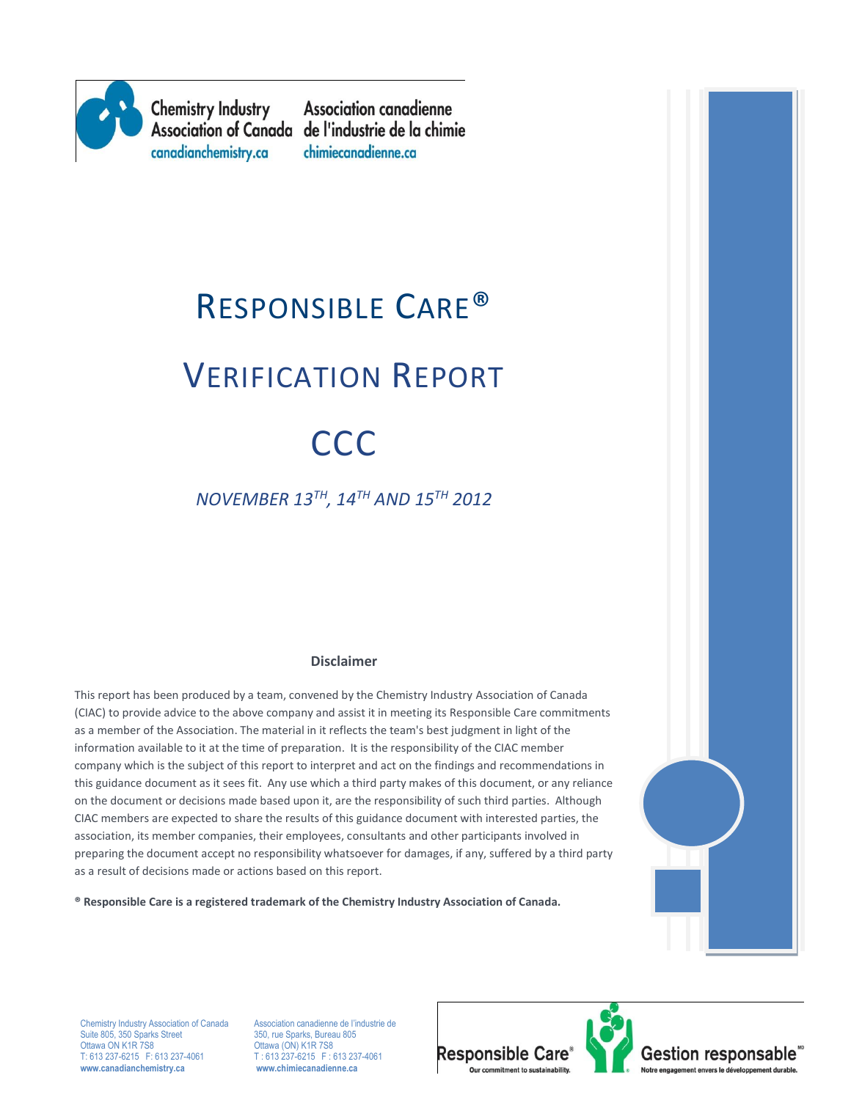

**Chemistry Industry** canadianchemistry.ca

**Association canadienne** Association of Canada de l'industrie de la chimie chimiecanadienne.ca

# RESPONSIBLE CARE® VERIFICATION REPORT **CCC**

# *NOVEMBER 13TH , 14TH AND 15TH 2012*

#### **Disclaimer**

This report has been produced by a team, convened by the Chemistry Industry Association of Canada (CIAC) to provide advice to the above company and assist it in meeting its Responsible Care commitments as a member of the Association. The material in it reflects the team's best judgment in light of the information available to it at the time of preparation. It is the responsibility of the CIAC member company which is the subject of this report to interpret and act on the findings and recommendations in this guidance document as it sees fit. Any use which a third party makes of this document, or any reliance on the document or decisions made based upon it, are the responsibility of such third parties. Although CIAC members are expected to share the results of this guidance document with interested parties, the association, its member companies, their employees, consultants and other participants involved in preparing the document accept no responsibility whatsoever for damages, if any, suffered by a third party as a result of decisions made or actions based on this report.



**® Responsible Care is a registered trademark of the Chemistry Industry Association of Canada.** 

Ottawa ON K1R 7S8 Suite 805, 350 Sparks Street Ottawa ON K1R 7S8 CHE 2012 CHE CON) K1R 7S8<br>T: 613 237-6215 F: 613 237-4061 T: 613 237-6215 F: 0 **www.canadianchemistry.ca www.chimiecanadienne.ca**

Chemistry Industry Association of Canada Association canadienne de l'industrie de<br>
Suite 805, 350 Sparks Street<br>
350, rue Sparks, Bureau 805  $T: 613\,237-6215$  F: 613 237-4061<br>www.chimiecanadienne.ca



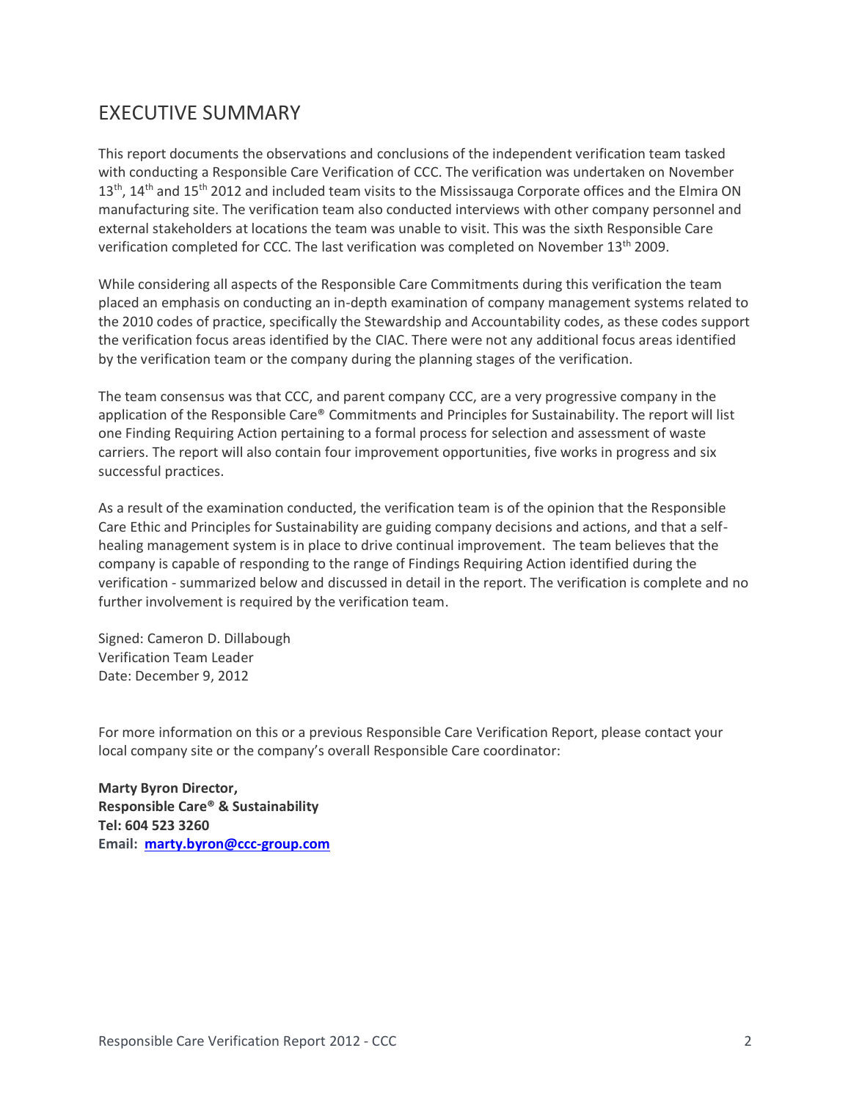# EXECUTIVE SUMMARY

This report documents the observations and conclusions of the independent verification team tasked with conducting a Responsible Care Verification of CCC. The verification was undertaken on November 13<sup>th</sup>, 14<sup>th</sup> and 15<sup>th</sup> 2012 and included team visits to the Mississauga Corporate offices and the Elmira ON manufacturing site. The verification team also conducted interviews with other company personnel and external stakeholders at locations the team was unable to visit. This was the sixth Responsible Care verification completed for CCC. The last verification was completed on November 13<sup>th</sup> 2009.

While considering all aspects of the Responsible Care Commitments during this verification the team placed an emphasis on conducting an in-depth examination of company management systems related to the 2010 codes of practice, specifically the Stewardship and Accountability codes, as these codes support the verification focus areas identified by the CIAC. There were not any additional focus areas identified by the verification team or the company during the planning stages of the verification.

The team consensus was that CCC, and parent company CCC, are a very progressive company in the application of the Responsible Care® Commitments and Principles for Sustainability. The report will list one Finding Requiring Action pertaining to a formal process for selection and assessment of waste carriers. The report will also contain four improvement opportunities, five works in progress and six successful practices.

As a result of the examination conducted, the verification team is of the opinion that the Responsible Care Ethic and Principles for Sustainability are guiding company decisions and actions, and that a selfhealing management system is in place to drive continual improvement. The team believes that the company is capable of responding to the range of Findings Requiring Action identified during the verification - summarized below and discussed in detail in the report. The verification is complete and no further involvement is required by the verification team.

Signed: Cameron D. Dillabough Verification Team Leader Date: December 9, 2012

For more information on this or a previous Responsible Care Verification Report, please contact your local company site or the company's overall Responsible Care coordinator:

**Marty Byron Director, Responsible Care® & Sustainability Tel: 604 523 3260 Email: [marty.byron@ccc-group.com](mailto:marty.byron@ccc-group.com)**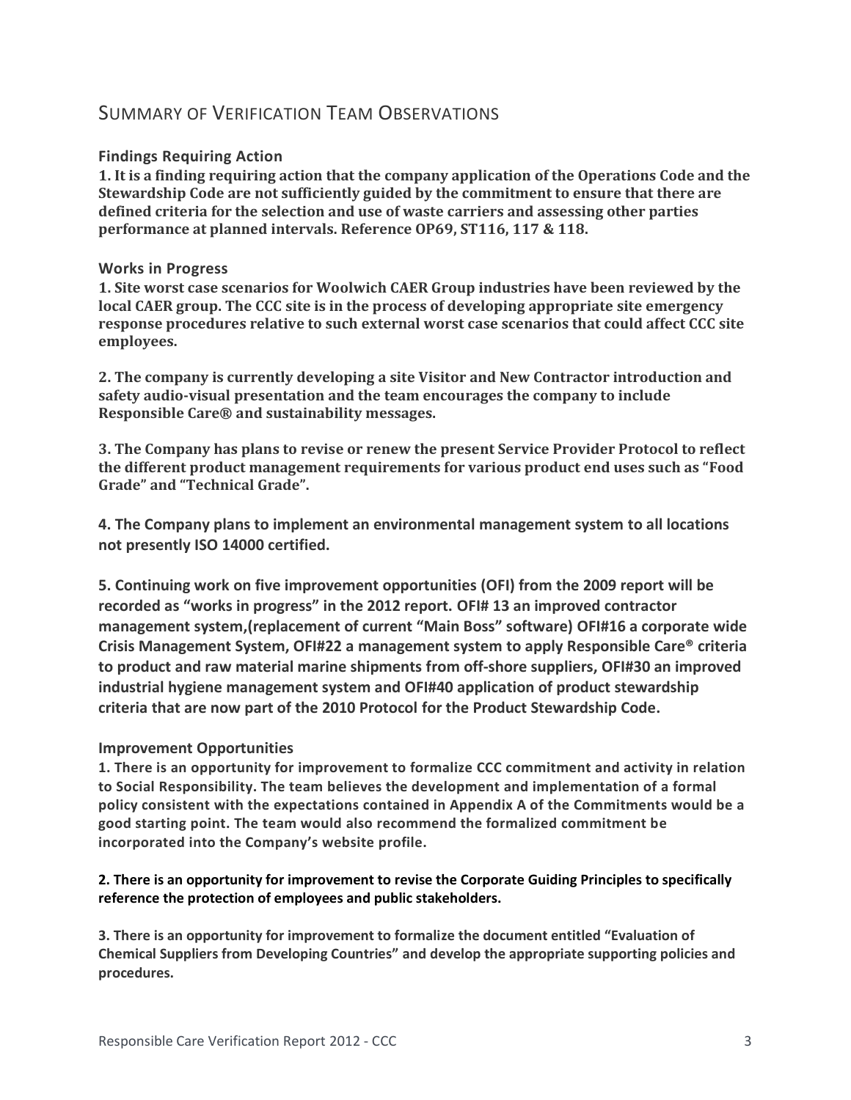## SUMMARY OF VERIFICATION TEAM OBSERVATIONS

#### **Findings Requiring Action**

**1. It is a finding requiring action that the company application of the Operations Code and the Stewardship Code are not sufficiently guided by the commitment to ensure that there are defined criteria for the selection and use of waste carriers and assessing other parties performance at planned intervals. Reference OP69, ST116, 117 & 118.**

#### **Works in Progress**

**1. Site worst case scenarios for Woolwich CAER Group industries have been reviewed by the local CAER group. The CCC site is in the process of developing appropriate site emergency response procedures relative to such external worst case scenarios that could affect CCC site employees.**

**2. The company is currently developing a site Visitor and New Contractor introduction and safety audio-visual presentation and the team encourages the company to include Responsible Care® and sustainability messages.** 

**3. The Company has plans to revise or renew the present Service Provider Protocol to reflect the different product management requirements for various product end uses such as "Food Grade" and "Technical Grade".**

**4. The Company plans to implement an environmental management system to all locations not presently ISO 14000 certified.**

**5. Continuing work on five improvement opportunities (OFI) from the 2009 report will be recorded as "works in progress" in the 2012 report. OFI# 13 an improved contractor management system,(replacement of current "Main Boss" software) OFI#16 a corporate wide Crisis Management System, OFI#22 a management system to apply Responsible Care® criteria to product and raw material marine shipments from off-shore suppliers, OFI#30 an improved industrial hygiene management system and OFI#40 application of product stewardship criteria that are now part of the 2010 Protocol for the Product Stewardship Code.**

#### **Improvement Opportunities**

**1. There is an opportunity for improvement to formalize CCC commitment and activity in relation to Social Responsibility. The team believes the development and implementation of a formal policy consistent with the expectations contained in Appendix A of the Commitments would be a good starting point. The team would also recommend the formalized commitment be incorporated into the Company's website profile.**

#### **2. There is an opportunity for improvement to revise the Corporate Guiding Principles to specifically reference the protection of employees and public stakeholders.**

**3. There is an opportunity for improvement to formalize the document entitled "Evaluation of Chemical Suppliers from Developing Countries" and develop the appropriate supporting policies and procedures.**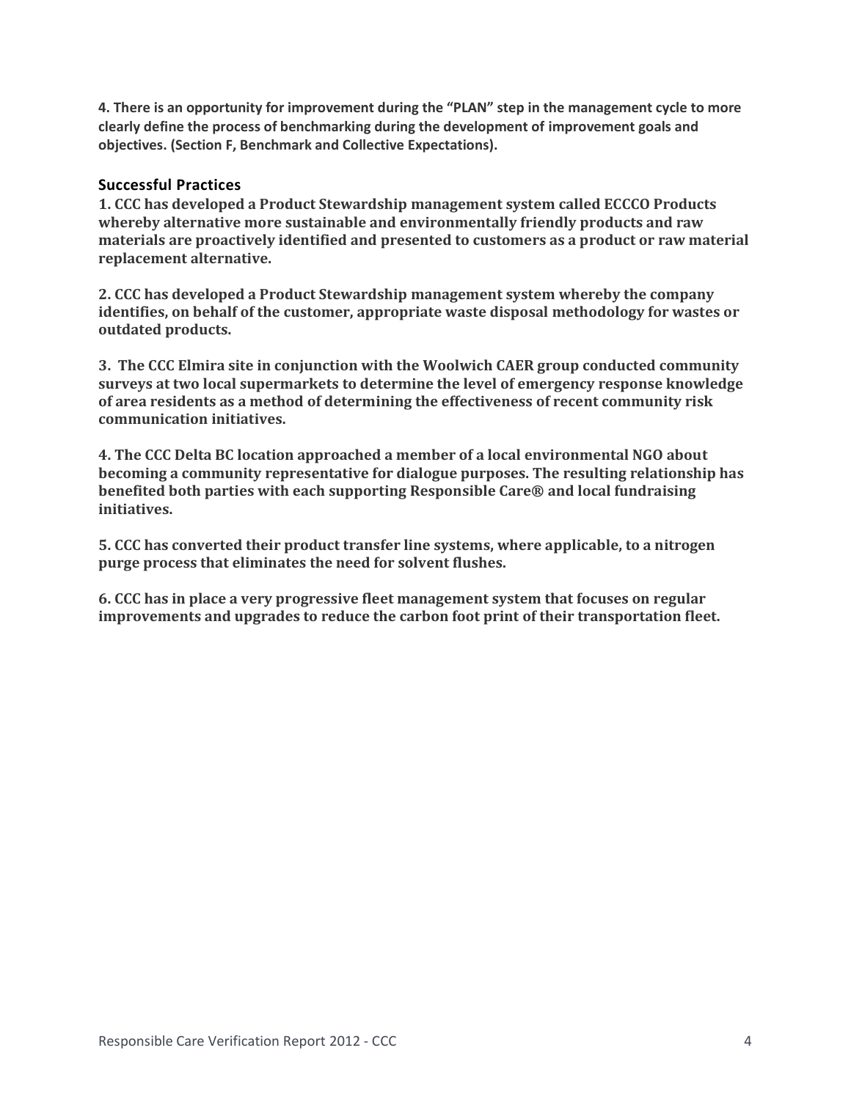**4. There is an opportunity for improvement during the "PLAN" step in the management cycle to more clearly define the process of benchmarking during the development of improvement goals and objectives. (Section F, Benchmark and Collective Expectations).** 

#### **Successful Practices**

**1. CCC has developed a Product Stewardship management system called ECCCO Products whereby alternative more sustainable and environmentally friendly products and raw materials are proactively identified and presented to customers as a product or raw material replacement alternative.** 

**2. CCC has developed a Product Stewardship management system whereby the company identifies, on behalf of the customer, appropriate waste disposal methodology for wastes or outdated products.**

**3. The CCC Elmira site in conjunction with the Woolwich CAER group conducted community surveys at two local supermarkets to determine the level of emergency response knowledge of area residents as a method of determining the effectiveness of recent community risk communication initiatives.**

**4. The CCC Delta BC location approached a member of a local environmental NGO about becoming a community representative for dialogue purposes. The resulting relationship has benefited both parties with each supporting Responsible Care® and local fundraising initiatives.**

**5. CCC has converted their product transfer line systems, where applicable, to a nitrogen purge process that eliminates the need for solvent flushes.**

**6. CCC has in place a very progressive fleet management system that focuses on regular improvements and upgrades to reduce the carbon foot print of their transportation fleet.**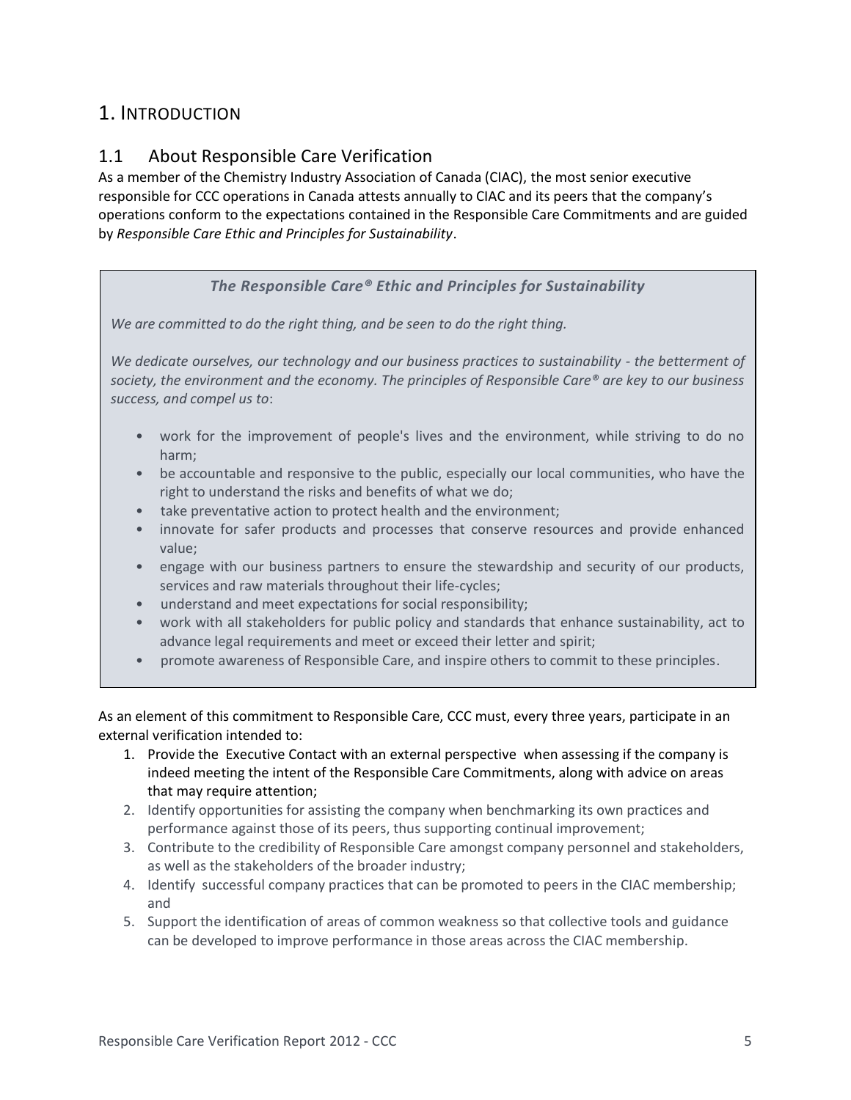# 1. INTRODUCTION

## 1.1 About Responsible Care Verification

As a member of the Chemistry Industry Association of Canada (CIAC), the most senior executive responsible for CCC operations in Canada attests annually to CIAC and its peers that the company's operations conform to the expectations contained in the Responsible Care Commitments and are guided by *Responsible Care Ethic and Principles for Sustainability*.

#### *The Responsible Care® Ethic and Principles for Sustainability*

*We are committed to do the right thing, and be seen to do the right thing.*

*We dedicate ourselves, our technology and our business practices to sustainability - the betterment of society, the environment and the economy. The principles of Responsible Care® are key to our business success, and compel us to*:

- work for the improvement of people's lives and the environment, while striving to do no harm;
- be accountable and responsive to the public, especially our local communities, who have the right to understand the risks and benefits of what we do;
- take preventative action to protect health and the environment;
- innovate for safer products and processes that conserve resources and provide enhanced value;
- engage with our business partners to ensure the stewardship and security of our products, services and raw materials throughout their life-cycles;
- understand and meet expectations for social responsibility;
- work with all stakeholders for public policy and standards that enhance sustainability, act to advance legal requirements and meet or exceed their letter and spirit;
- promote awareness of Responsible Care, and inspire others to commit to these principles.

As an element of this commitment to Responsible Care, CCC must, every three years, participate in an external verification intended to:

- 1. Provide the Executive Contact with an external perspective when assessing if the company is indeed meeting the intent of the Responsible Care Commitments, along with advice on areas that may require attention;
- 2. Identify opportunities for assisting the company when benchmarking its own practices and performance against those of its peers, thus supporting continual improvement;
- 3. Contribute to the credibility of Responsible Care amongst company personnel and stakeholders, as well as the stakeholders of the broader industry;
- 4. Identify successful company practices that can be promoted to peers in the CIAC membership; and
- 5. Support the identification of areas of common weakness so that collective tools and guidance can be developed to improve performance in those areas across the CIAC membership.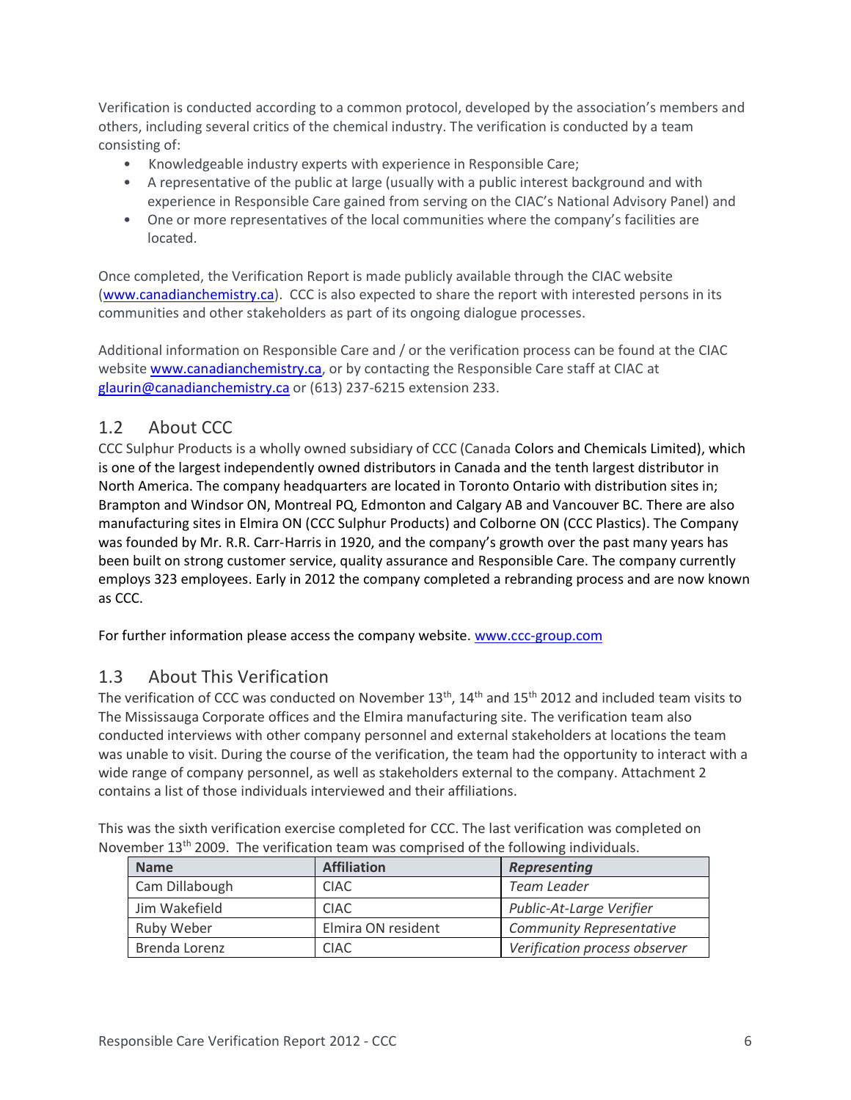Verification is conducted according to a common protocol, developed by the association's members and others, including several critics of the chemical industry. The verification is conducted by a team consisting of:

- Knowledgeable industry experts with experience in Responsible Care;
- A representative of the public at large (usually with a public interest background and with experience in Responsible Care gained from serving on the CIAC's National Advisory Panel) and
- One or more representatives of the local communities where the company's facilities are located.

Once completed, the Verification Report is made publicly available through the CIAC website [\(www.canadianchemistry.ca\)](http://www.canadianchemistry.ca/). CCC is also expected to share the report with interested persons in its communities and other stakeholders as part of its ongoing dialogue processes.

Additional information on Responsible Care and / or the verification process can be found at the CIAC website [www.canadianchemistry.ca,](http://www.canadianchemistry.ca/) or by contacting the Responsible Care staff at CIAC at [glaurin@canadianchemistry.ca](mailto:glaurin@canadianchemistry.ca) or (613) 237-6215 extension 233.

## 1.2 About CCC

CCC Sulphur Products is a wholly owned subsidiary of CCC (Canada Colors and Chemicals Limited), which is one of the largest independently owned distributors in Canada and the tenth largest distributor in North America. The company headquarters are located in Toronto Ontario with distribution sites in; Brampton and Windsor ON, Montreal PQ, Edmonton and Calgary AB and Vancouver BC. There are also manufacturing sites in Elmira ON (CCC Sulphur Products) and Colborne ON (CCC Plastics). The Company was founded by Mr. R.R. Carr-Harris in 1920, and the company's growth over the past many years has been built on strong customer service, quality assurance and Responsible Care. The company currently employs 323 employees. Early in 2012 the company completed a rebranding process and are now known as CCC.

For further information please access the company website. [www.ccc-group.com](http://www.ccc-group.com/)

## 1.3 About This Verification

The verification of CCC was conducted on November 13<sup>th</sup>, 14<sup>th</sup> and 15<sup>th</sup> 2012 and included team visits to The Mississauga Corporate offices and the Elmira manufacturing site. The verification team also conducted interviews with other company personnel and external stakeholders at locations the team was unable to visit. During the course of the verification, the team had the opportunity to interact with a wide range of company personnel, as well as stakeholders external to the company. Attachment 2 contains a list of those individuals interviewed and their affiliations.

| <b>Name</b>    | <b>Affiliation</b> | Representing                    |  |
|----------------|--------------------|---------------------------------|--|
| Cam Dillabough | <b>CIAC</b>        | Team Leader                     |  |
| Jim Wakefield  | <b>CIAC</b>        | Public-At-Large Verifier        |  |
| Ruby Weber     | Elmira ON resident | <b>Community Representative</b> |  |
| Brenda Lorenz  | <b>CIAC</b>        | Verification process observer   |  |

This was the sixth verification exercise completed for CCC. The last verification was completed on November 13th 2009. The verification team was comprised of the following individuals.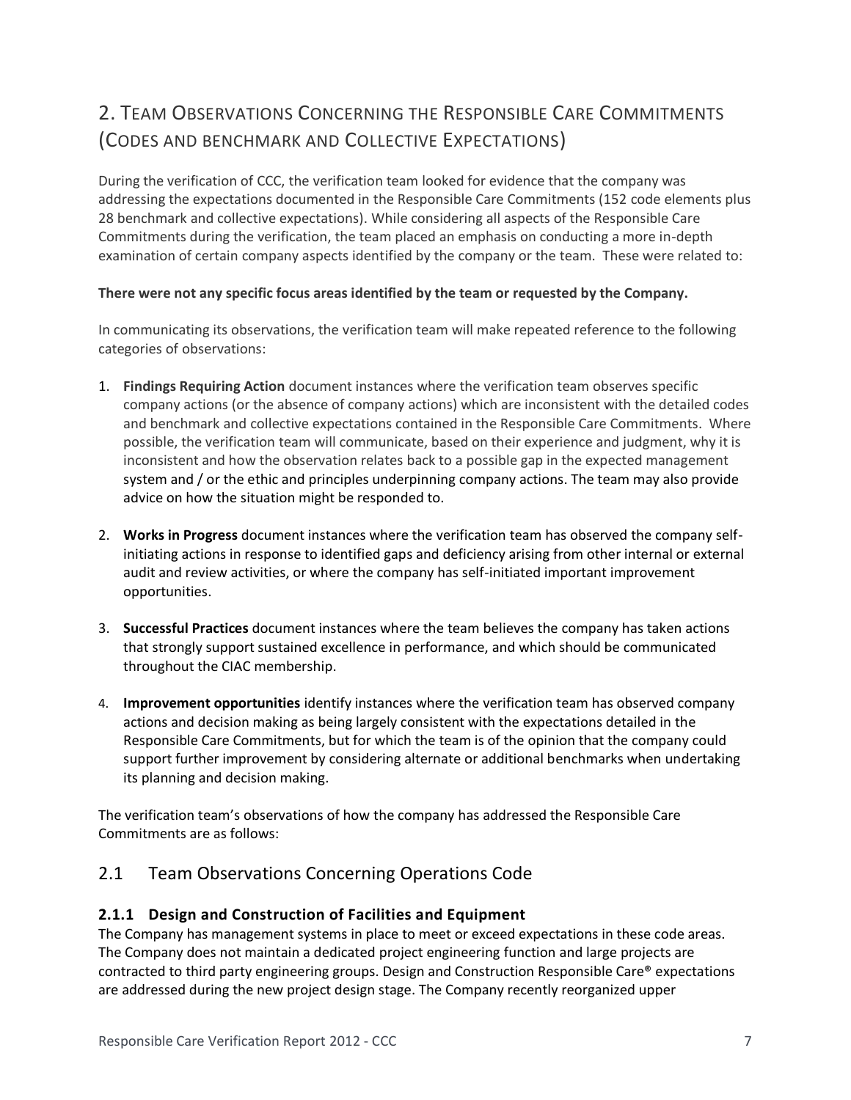# 2. TEAM OBSERVATIONS CONCERNING THE RESPONSIBLE CARE COMMITMENTS (CODES AND BENCHMARK AND COLLECTIVE EXPECTATIONS)

During the verification of CCC, the verification team looked for evidence that the company was addressing the expectations documented in the Responsible Care Commitments (152 code elements plus 28 benchmark and collective expectations). While considering all aspects of the Responsible Care Commitments during the verification, the team placed an emphasis on conducting a more in-depth examination of certain company aspects identified by the company or the team. These were related to:

#### **There were not any specific focus areas identified by the team or requested by the Company.**

In communicating its observations, the verification team will make repeated reference to the following categories of observations:

- 1. **Findings Requiring Action** document instances where the verification team observes specific company actions (or the absence of company actions) which are inconsistent with the detailed codes and benchmark and collective expectations contained in the Responsible Care Commitments. Where possible, the verification team will communicate, based on their experience and judgment, why it is inconsistent and how the observation relates back to a possible gap in the expected management system and / or the ethic and principles underpinning company actions. The team may also provide advice on how the situation might be responded to.
- 2. **Works in Progress** document instances where the verification team has observed the company selfinitiating actions in response to identified gaps and deficiency arising from other internal or external audit and review activities, or where the company has self-initiated important improvement opportunities.
- 3. **Successful Practices** document instances where the team believes the company has taken actions that strongly support sustained excellence in performance, and which should be communicated throughout the CIAC membership.
- 4. **Improvement opportunities** identify instances where the verification team has observed company actions and decision making as being largely consistent with the expectations detailed in the Responsible Care Commitments, but for which the team is of the opinion that the company could support further improvement by considering alternate or additional benchmarks when undertaking its planning and decision making.

The verification team's observations of how the company has addressed the Responsible Care Commitments are as follows:

## 2.1 Team Observations Concerning Operations Code

## **2.1.1 Design and Construction of Facilities and Equipment**

The Company has management systems in place to meet or exceed expectations in these code areas. The Company does not maintain a dedicated project engineering function and large projects are contracted to third party engineering groups. Design and Construction Responsible Care® expectations are addressed during the new project design stage. The Company recently reorganized upper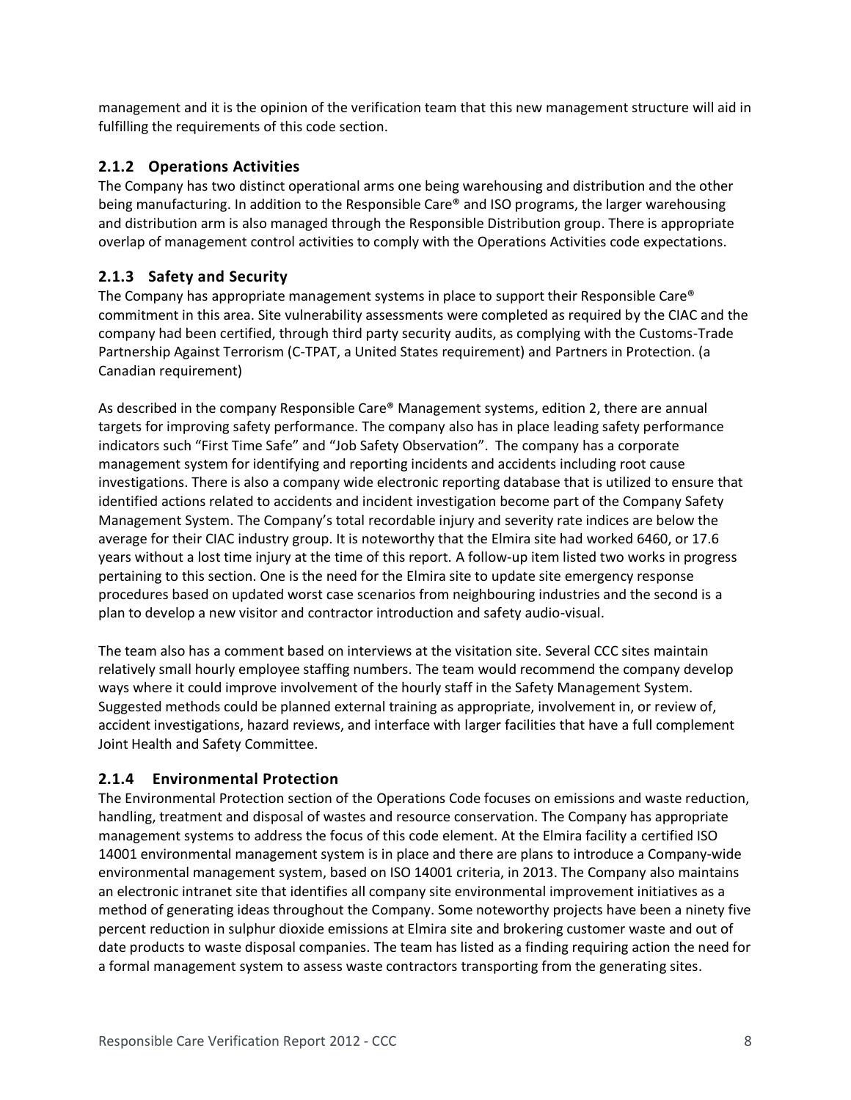management and it is the opinion of the verification team that this new management structure will aid in fulfilling the requirements of this code section.

#### **2.1.2 Operations Activities**

The Company has two distinct operational arms one being warehousing and distribution and the other being manufacturing. In addition to the Responsible Care® and ISO programs, the larger warehousing and distribution arm is also managed through the Responsible Distribution group. There is appropriate overlap of management control activities to comply with the Operations Activities code expectations.

#### **2.1.3 Safety and Security**

The Company has appropriate management systems in place to support their Responsible Care® commitment in this area. Site vulnerability assessments were completed as required by the CIAC and the company had been certified, through third party security audits, as complying with the Customs-Trade Partnership Against Terrorism (C-TPAT, a United States requirement) and Partners in Protection. (a Canadian requirement)

As described in the company Responsible Care® Management systems, edition 2, there are annual targets for improving safety performance. The company also has in place leading safety performance indicators such "First Time Safe" and "Job Safety Observation". The company has a corporate management system for identifying and reporting incidents and accidents including root cause investigations. There is also a company wide electronic reporting database that is utilized to ensure that identified actions related to accidents and incident investigation become part of the Company Safety Management System. The Company's total recordable injury and severity rate indices are below the average for their CIAC industry group. It is noteworthy that the Elmira site had worked 6460, or 17.6 years without a lost time injury at the time of this report. A follow-up item listed two works in progress pertaining to this section. One is the need for the Elmira site to update site emergency response procedures based on updated worst case scenarios from neighbouring industries and the second is a plan to develop a new visitor and contractor introduction and safety audio-visual.

The team also has a comment based on interviews at the visitation site. Several CCC sites maintain relatively small hourly employee staffing numbers. The team would recommend the company develop ways where it could improve involvement of the hourly staff in the Safety Management System. Suggested methods could be planned external training as appropriate, involvement in, or review of, accident investigations, hazard reviews, and interface with larger facilities that have a full complement Joint Health and Safety Committee.

## **2.1.4 Environmental Protection**

The Environmental Protection section of the Operations Code focuses on emissions and waste reduction, handling, treatment and disposal of wastes and resource conservation. The Company has appropriate management systems to address the focus of this code element. At the Elmira facility a certified ISO 14001 environmental management system is in place and there are plans to introduce a Company-wide environmental management system, based on ISO 14001 criteria, in 2013. The Company also maintains an electronic intranet site that identifies all company site environmental improvement initiatives as a method of generating ideas throughout the Company. Some noteworthy projects have been a ninety five percent reduction in sulphur dioxide emissions at Elmira site and brokering customer waste and out of date products to waste disposal companies. The team has listed as a finding requiring action the need for a formal management system to assess waste contractors transporting from the generating sites.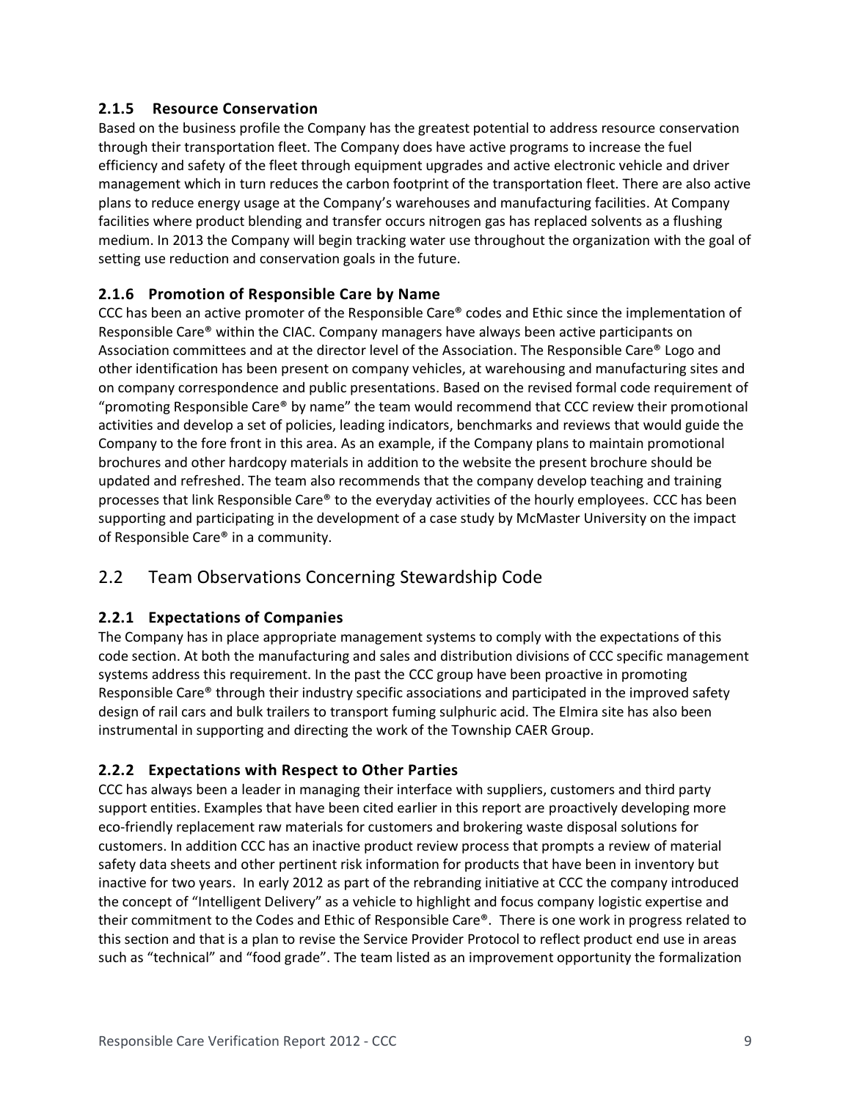#### **2.1.5 Resource Conservation**

Based on the business profile the Company has the greatest potential to address resource conservation through their transportation fleet. The Company does have active programs to increase the fuel efficiency and safety of the fleet through equipment upgrades and active electronic vehicle and driver management which in turn reduces the carbon footprint of the transportation fleet. There are also active plans to reduce energy usage at the Company's warehouses and manufacturing facilities. At Company facilities where product blending and transfer occurs nitrogen gas has replaced solvents as a flushing medium. In 2013 the Company will begin tracking water use throughout the organization with the goal of setting use reduction and conservation goals in the future.

#### **2.1.6 Promotion of Responsible Care by Name**

CCC has been an active promoter of the Responsible Care® codes and Ethic since the implementation of Responsible Care® within the CIAC. Company managers have always been active participants on Association committees and at the director level of the Association. The Responsible Care® Logo and other identification has been present on company vehicles, at warehousing and manufacturing sites and on company correspondence and public presentations. Based on the revised formal code requirement of "promoting Responsible Care® by name" the team would recommend that CCC review their promotional activities and develop a set of policies, leading indicators, benchmarks and reviews that would guide the Company to the fore front in this area. As an example, if the Company plans to maintain promotional brochures and other hardcopy materials in addition to the website the present brochure should be updated and refreshed. The team also recommends that the company develop teaching and training processes that link Responsible Care® to the everyday activities of the hourly employees. CCC has been supporting and participating in the development of a case study by McMaster University on the impact of Responsible Care® in a community.

## 2.2 Team Observations Concerning Stewardship Code

#### **2.2.1 Expectations of Companies**

The Company has in place appropriate management systems to comply with the expectations of this code section. At both the manufacturing and sales and distribution divisions of CCC specific management systems address this requirement. In the past the CCC group have been proactive in promoting Responsible Care® through their industry specific associations and participated in the improved safety design of rail cars and bulk trailers to transport fuming sulphuric acid. The Elmira site has also been instrumental in supporting and directing the work of the Township CAER Group.

#### **2.2.2 Expectations with Respect to Other Parties**

CCC has always been a leader in managing their interface with suppliers, customers and third party support entities. Examples that have been cited earlier in this report are proactively developing more eco-friendly replacement raw materials for customers and brokering waste disposal solutions for customers. In addition CCC has an inactive product review process that prompts a review of material safety data sheets and other pertinent risk information for products that have been in inventory but inactive for two years. In early 2012 as part of the rebranding initiative at CCC the company introduced the concept of "Intelligent Delivery" as a vehicle to highlight and focus company logistic expertise and their commitment to the Codes and Ethic of Responsible Care®. There is one work in progress related to this section and that is a plan to revise the Service Provider Protocol to reflect product end use in areas such as "technical" and "food grade". The team listed as an improvement opportunity the formalization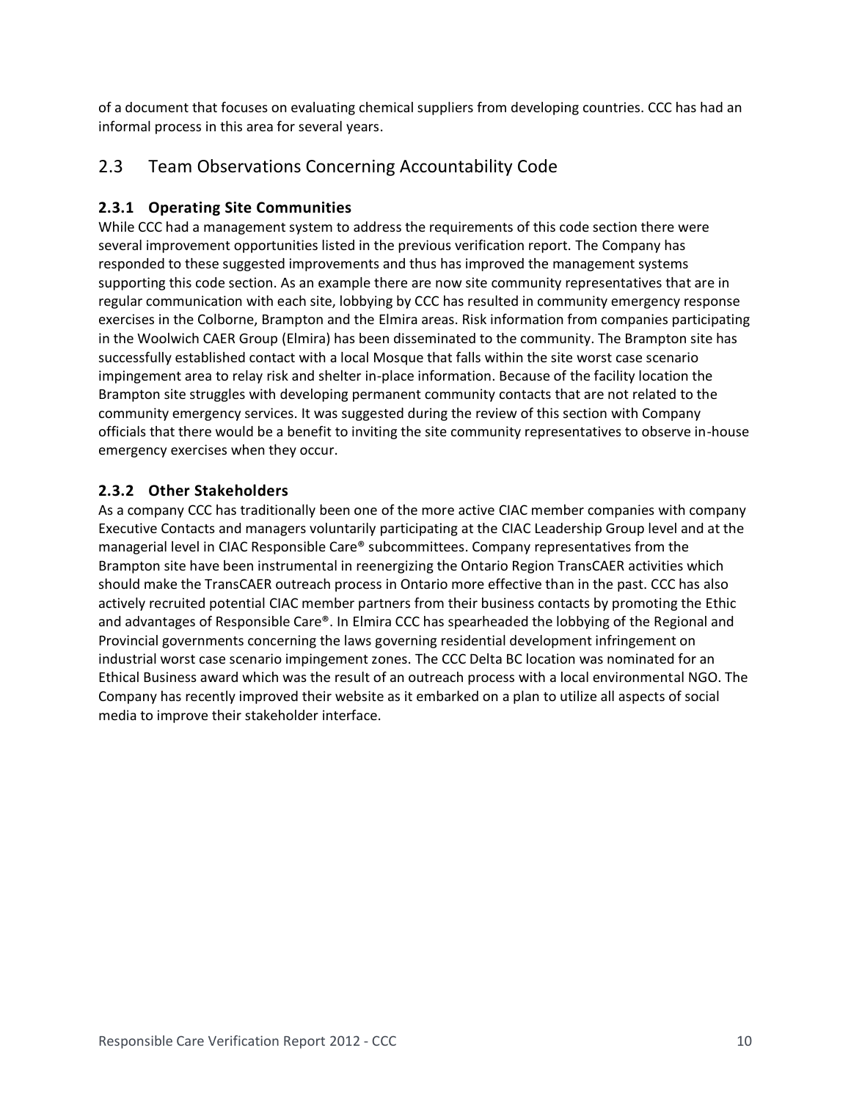of a document that focuses on evaluating chemical suppliers from developing countries. CCC has had an informal process in this area for several years.

## 2.3 Team Observations Concerning Accountability Code

#### **2.3.1 Operating Site Communities**

While CCC had a management system to address the requirements of this code section there were several improvement opportunities listed in the previous verification report. The Company has responded to these suggested improvements and thus has improved the management systems supporting this code section. As an example there are now site community representatives that are in regular communication with each site, lobbying by CCC has resulted in community emergency response exercises in the Colborne, Brampton and the Elmira areas. Risk information from companies participating in the Woolwich CAER Group (Elmira) has been disseminated to the community. The Brampton site has successfully established contact with a local Mosque that falls within the site worst case scenario impingement area to relay risk and shelter in-place information. Because of the facility location the Brampton site struggles with developing permanent community contacts that are not related to the community emergency services. It was suggested during the review of this section with Company officials that there would be a benefit to inviting the site community representatives to observe in-house emergency exercises when they occur.

#### **2.3.2 Other Stakeholders**

As a company CCC has traditionally been one of the more active CIAC member companies with company Executive Contacts and managers voluntarily participating at the CIAC Leadership Group level and at the managerial level in CIAC Responsible Care® subcommittees. Company representatives from the Brampton site have been instrumental in reenergizing the Ontario Region TransCAER activities which should make the TransCAER outreach process in Ontario more effective than in the past. CCC has also actively recruited potential CIAC member partners from their business contacts by promoting the Ethic and advantages of Responsible Care®. In Elmira CCC has spearheaded the lobbying of the Regional and Provincial governments concerning the laws governing residential development infringement on industrial worst case scenario impingement zones. The CCC Delta BC location was nominated for an Ethical Business award which was the result of an outreach process with a local environmental NGO. The Company has recently improved their website as it embarked on a plan to utilize all aspects of social media to improve their stakeholder interface.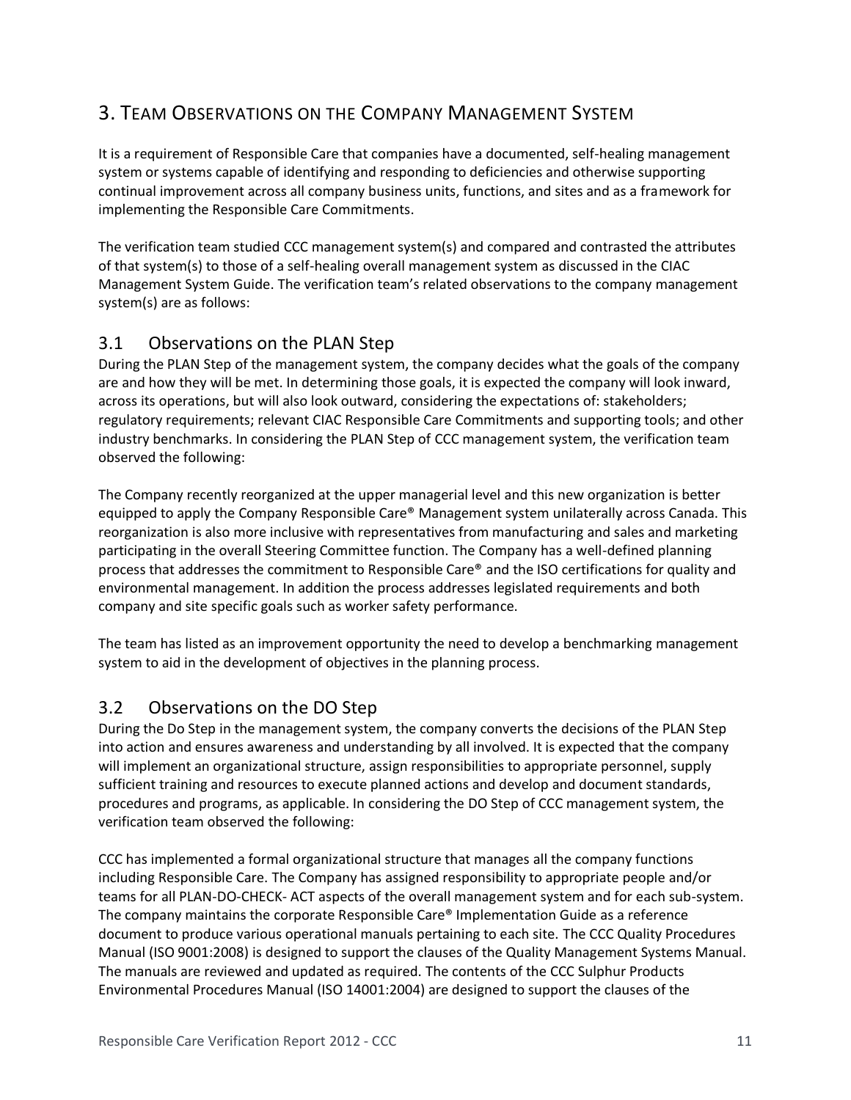# 3. TEAM OBSERVATIONS ON THE COMPANY MANAGEMENT SYSTEM

It is a requirement of Responsible Care that companies have a documented, self-healing management system or systems capable of identifying and responding to deficiencies and otherwise supporting continual improvement across all company business units, functions, and sites and as a framework for implementing the Responsible Care Commitments.

The verification team studied CCC management system(s) and compared and contrasted the attributes of that system(s) to those of a self-healing overall management system as discussed in the CIAC Management System Guide. The verification team's related observations to the company management system(s) are as follows:

## 3.1 Observations on the PLAN Step

During the PLAN Step of the management system, the company decides what the goals of the company are and how they will be met. In determining those goals, it is expected the company will look inward, across its operations, but will also look outward, considering the expectations of: stakeholders; regulatory requirements; relevant CIAC Responsible Care Commitments and supporting tools; and other industry benchmarks. In considering the PLAN Step of CCC management system, the verification team observed the following:

The Company recently reorganized at the upper managerial level and this new organization is better equipped to apply the Company Responsible Care® Management system unilaterally across Canada. This reorganization is also more inclusive with representatives from manufacturing and sales and marketing participating in the overall Steering Committee function. The Company has a well-defined planning process that addresses the commitment to Responsible Care® and the ISO certifications for quality and environmental management. In addition the process addresses legislated requirements and both company and site specific goals such as worker safety performance.

The team has listed as an improvement opportunity the need to develop a benchmarking management system to aid in the development of objectives in the planning process.

## 3.2 Observations on the DO Step

During the Do Step in the management system, the company converts the decisions of the PLAN Step into action and ensures awareness and understanding by all involved. It is expected that the company will implement an organizational structure, assign responsibilities to appropriate personnel, supply sufficient training and resources to execute planned actions and develop and document standards, procedures and programs, as applicable. In considering the DO Step of CCC management system, the verification team observed the following:

CCC has implemented a formal organizational structure that manages all the company functions including Responsible Care. The Company has assigned responsibility to appropriate people and/or teams for all PLAN-DO-CHECK- ACT aspects of the overall management system and for each sub-system. The company maintains the corporate Responsible Care® Implementation Guide as a reference document to produce various operational manuals pertaining to each site. The CCC Quality Procedures Manual (ISO 9001:2008) is designed to support the clauses of the Quality Management Systems Manual. The manuals are reviewed and updated as required. The contents of the CCC Sulphur Products Environmental Procedures Manual (ISO 14001:2004) are designed to support the clauses of the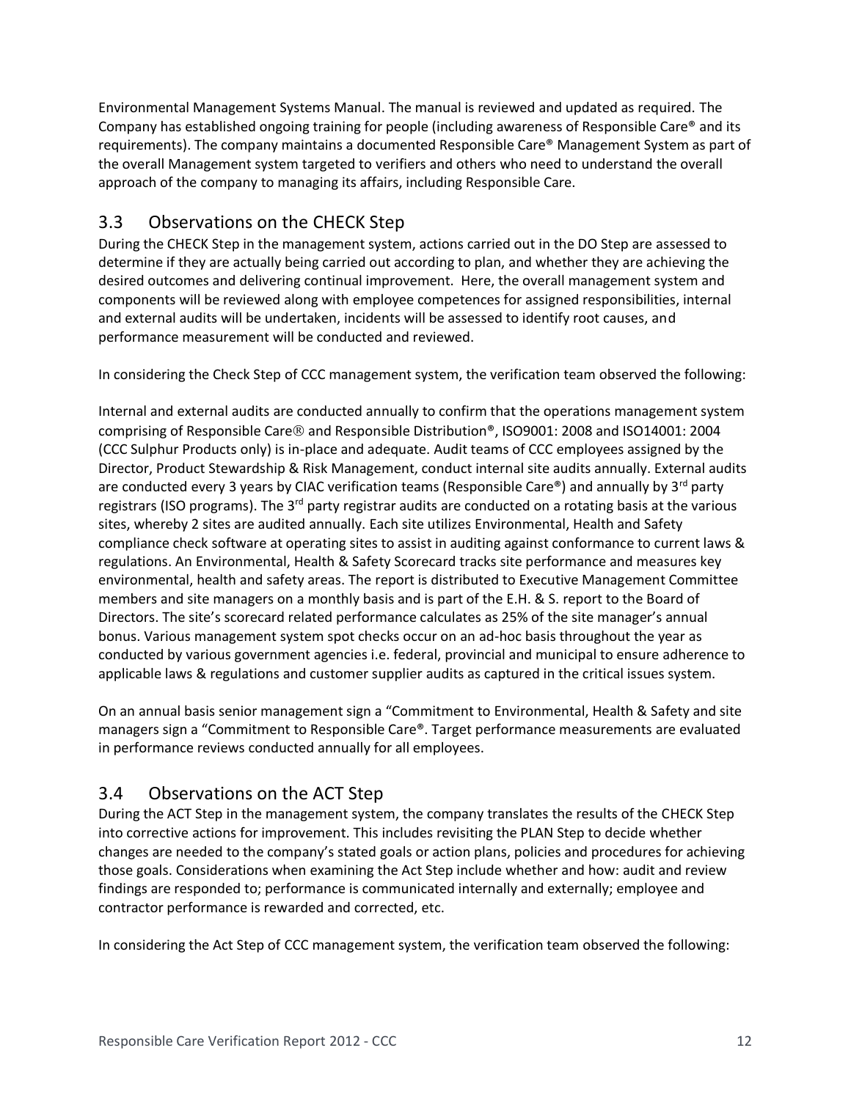Environmental Management Systems Manual. The manual is reviewed and updated as required. The Company has established ongoing training for people (including awareness of Responsible Care® and its requirements). The company maintains a documented Responsible Care® Management System as part of the overall Management system targeted to verifiers and others who need to understand the overall approach of the company to managing its affairs, including Responsible Care.

## 3.3 Observations on the CHECK Step

During the CHECK Step in the management system, actions carried out in the DO Step are assessed to determine if they are actually being carried out according to plan, and whether they are achieving the desired outcomes and delivering continual improvement. Here, the overall management system and components will be reviewed along with employee competences for assigned responsibilities, internal and external audits will be undertaken, incidents will be assessed to identify root causes, and performance measurement will be conducted and reviewed.

In considering the Check Step of CCC management system, the verification team observed the following:

Internal and external audits are conducted annually to confirm that the operations management system comprising of Responsible Care ® and Responsible Distribution<sup>®</sup>, ISO9001: 2008 and ISO14001: 2004 (CCC Sulphur Products only) is in-place and adequate. Audit teams of CCC employees assigned by the Director, Product Stewardship & Risk Management, conduct internal site audits annually. External audits are conducted every 3 years by CIAC verification teams (Responsible Care®) and annually by  $3^{rd}$  party registrars (ISO programs). The 3<sup>rd</sup> party registrar audits are conducted on a rotating basis at the various sites, whereby 2 sites are audited annually. Each site utilizes Environmental, Health and Safety compliance check software at operating sites to assist in auditing against conformance to current laws & regulations. An Environmental, Health & Safety Scorecard tracks site performance and measures key environmental, health and safety areas. The report is distributed to Executive Management Committee members and site managers on a monthly basis and is part of the E.H. & S. report to the Board of Directors. The site's scorecard related performance calculates as 25% of the site manager's annual bonus. Various management system spot checks occur on an ad-hoc basis throughout the year as conducted by various government agencies i.e. federal, provincial and municipal to ensure adherence to applicable laws & regulations and customer supplier audits as captured in the critical issues system.

On an annual basis senior management sign a "Commitment to Environmental, Health & Safety and site managers sign a "Commitment to Responsible Care®. Target performance measurements are evaluated in performance reviews conducted annually for all employees.

# 3.4 Observations on the ACT Step

During the ACT Step in the management system, the company translates the results of the CHECK Step into corrective actions for improvement. This includes revisiting the PLAN Step to decide whether changes are needed to the company's stated goals or action plans, policies and procedures for achieving those goals. Considerations when examining the Act Step include whether and how: audit and review findings are responded to; performance is communicated internally and externally; employee and contractor performance is rewarded and corrected, etc.

In considering the Act Step of CCC management system, the verification team observed the following: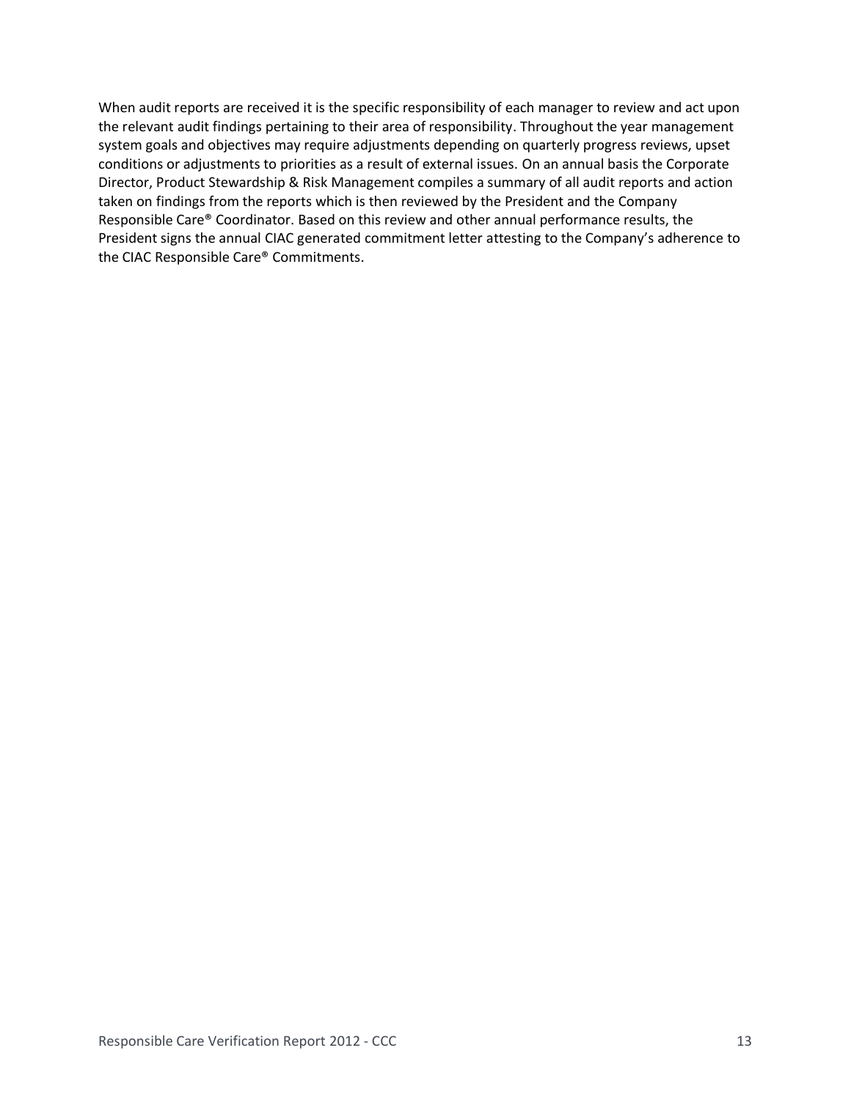When audit reports are received it is the specific responsibility of each manager to review and act upon the relevant audit findings pertaining to their area of responsibility. Throughout the year management system goals and objectives may require adjustments depending on quarterly progress reviews, upset conditions or adjustments to priorities as a result of external issues. On an annual basis the Corporate Director, Product Stewardship & Risk Management compiles a summary of all audit reports and action taken on findings from the reports which is then reviewed by the President and the Company Responsible Care® Coordinator. Based on this review and other annual performance results, the President signs the annual CIAC generated commitment letter attesting to the Company's adherence to the CIAC Responsible Care® Commitments.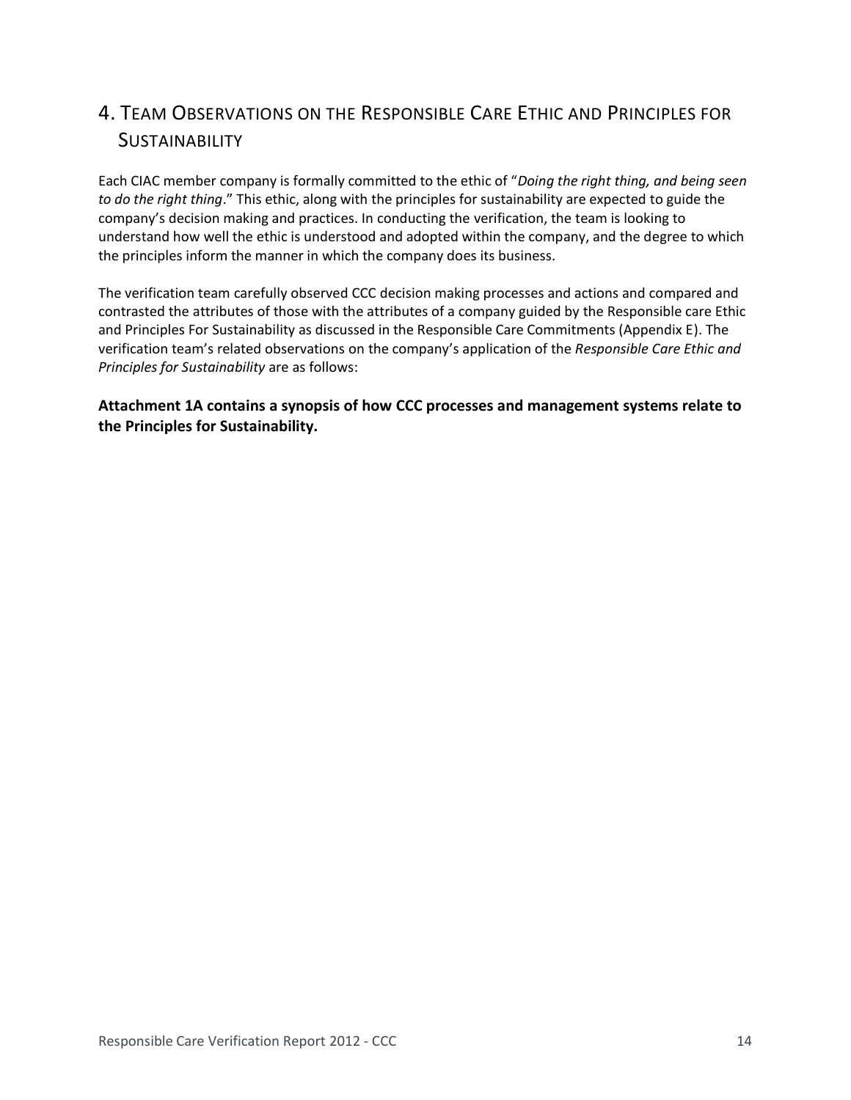# 4. TEAM OBSERVATIONS ON THE RESPONSIBLE CARE ETHIC AND PRINCIPLES FOR **SUSTAINABILITY**

Each CIAC member company is formally committed to the ethic of "*Doing the right thing, and being seen to do the right thing*." This ethic, along with the principles for sustainability are expected to guide the company's decision making and practices. In conducting the verification, the team is looking to understand how well the ethic is understood and adopted within the company, and the degree to which the principles inform the manner in which the company does its business.

The verification team carefully observed CCC decision making processes and actions and compared and contrasted the attributes of those with the attributes of a company guided by the Responsible care Ethic and Principles For Sustainability as discussed in the Responsible Care Commitments (Appendix E). The verification team's related observations on the company's application of the *Responsible Care Ethic and Principles for Sustainability* are as follows:

**Attachment 1A contains a synopsis of how CCC processes and management systems relate to the Principles for Sustainability.**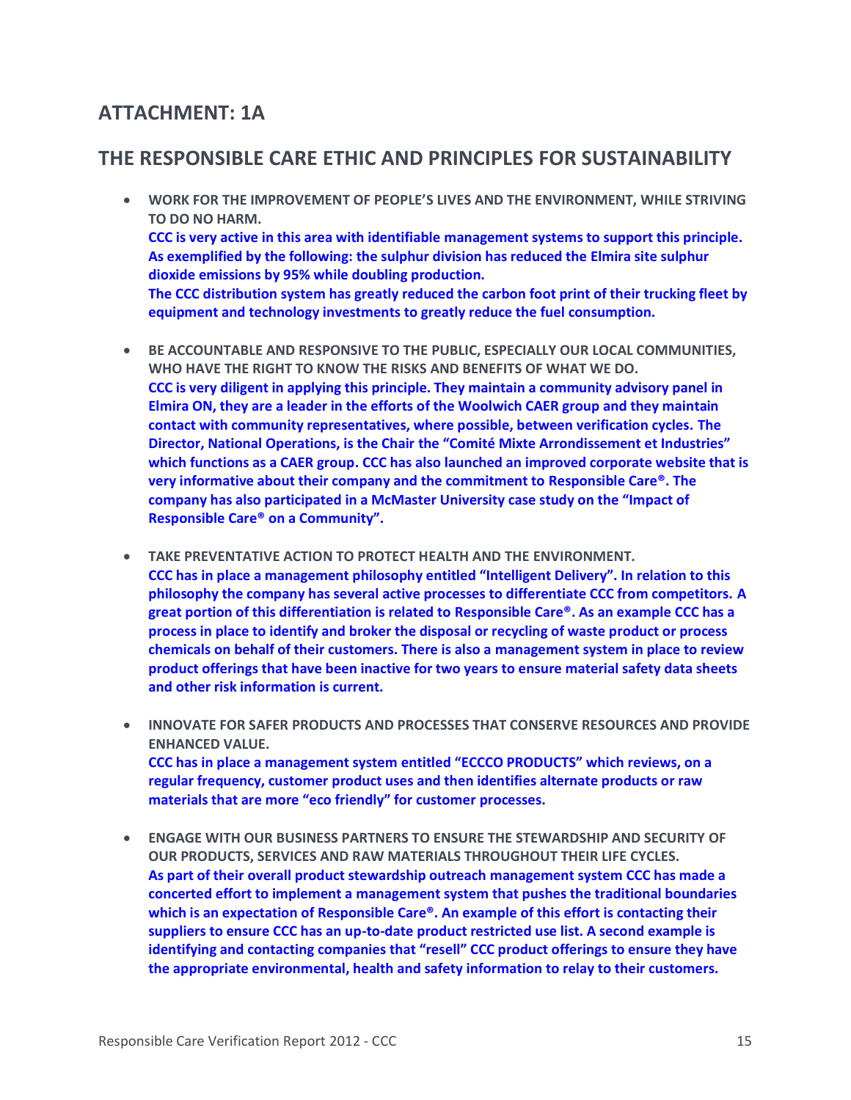# **ATTACHMENT: 1A**

## **THE RESPONSIBLE CARE ETHIC AND PRINCIPLES FOR SUSTAINABILITY**

- **WORK FOR THE IMPROVEMENT OF PEOPLE'S LIVES AND THE ENVIRONMENT, WHILE STRIVING TO DO NO HARM. CCC is very active in this area with identifiable management systems to support this principle. As exemplified by the following: the sulphur division has reduced the Elmira site sulphur dioxide emissions by 95% while doubling production. The CCC distribution system has greatly reduced the carbon foot print of their trucking fleet by equipment and technology investments to greatly reduce the fuel consumption.**
- **BE ACCOUNTABLE AND RESPONSIVE TO THE PUBLIC, ESPECIALLY OUR LOCAL COMMUNITIES, WHO HAVE THE RIGHT TO KNOW THE RISKS AND BENEFITS OF WHAT WE DO. CCC is very diligent in applying this principle. They maintain a community advisory panel in Elmira ON, they are a leader in the efforts of the Woolwich CAER group and they maintain contact with community representatives, where possible, between verification cycles. The Director, National Operations, is the Chair the "Comité Mixte Arrondissement et Industries" which functions as a CAER group. CCC has also launched an improved corporate website that is very informative about their company and the commitment to Responsible Care®. The company has also participated in a McMaster University case study on the "Impact of Responsible Care® on a Community".**
- **TAKE PREVENTATIVE ACTION TO PROTECT HEALTH AND THE ENVIRONMENT. CCC has in place a management philosophy entitled "Intelligent Delivery". In relation to this philosophy the company has several active processes to differentiate CCC from competitors. A great portion of this differentiation is related to Responsible Care®. As an example CCC has a process in place to identify and broker the disposal or recycling of waste product or process chemicals on behalf of their customers. There is also a management system in place to review product offerings that have been inactive for two years to ensure material safety data sheets and other risk information is current.**
- **INNOVATE FOR SAFER PRODUCTS AND PROCESSES THAT CONSERVE RESOURCES AND PROVIDE ENHANCED VALUE. CCC has in place a management system entitled "ECCCO PRODUCTS" which reviews, on a regular frequency, customer product uses and then identifies alternate products or raw materials that are more "eco friendly" for customer processes.**
- **ENGAGE WITH OUR BUSINESS PARTNERS TO ENSURE THE STEWARDSHIP AND SECURITY OF OUR PRODUCTS, SERVICES AND RAW MATERIALS THROUGHOUT THEIR LIFE CYCLES. As part of their overall product stewardship outreach management system CCC has made a concerted effort to implement a management system that pushes the traditional boundaries which is an expectation of Responsible Care®. An example of this effort is contacting their suppliers to ensure CCC has an up-to-date product restricted use list. A second example is identifying and contacting companies that "resell" CCC product offerings to ensure they have the appropriate environmental, health and safety information to relay to their customers.**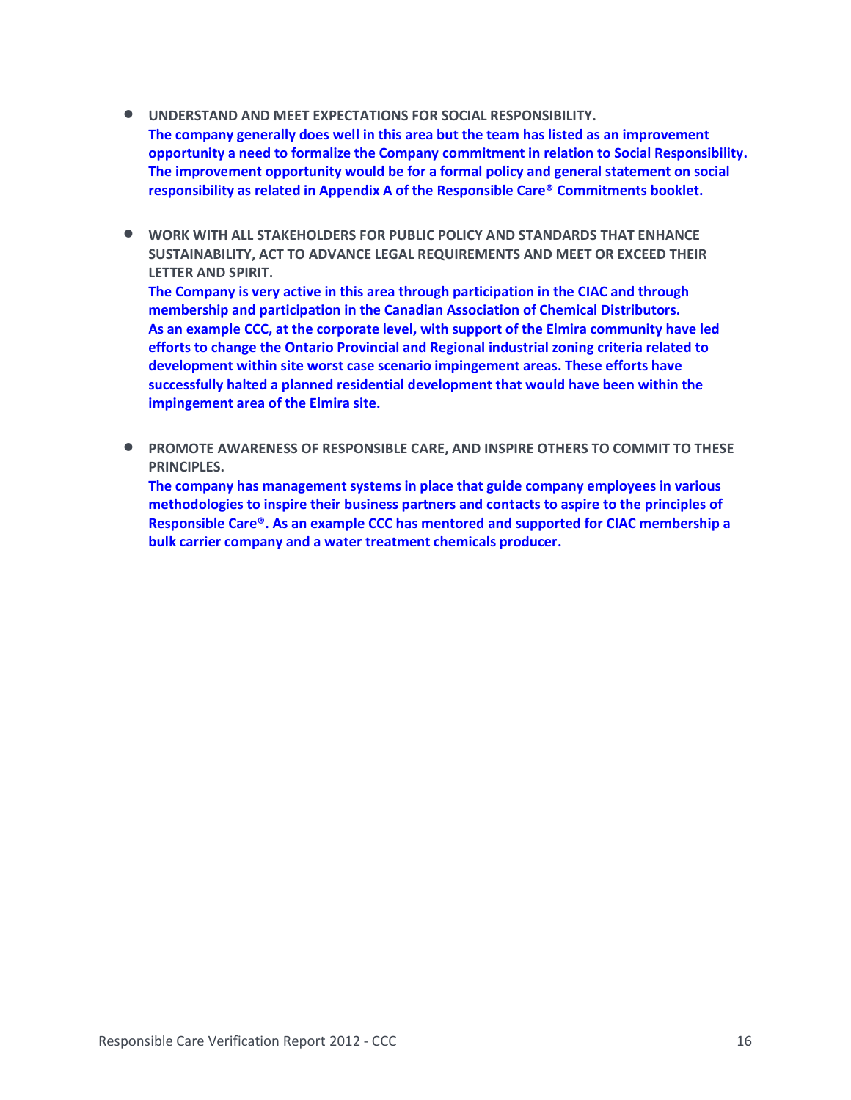- **UNDERSTAND AND MEET EXPECTATIONS FOR SOCIAL RESPONSIBILITY. The company generally does well in this area but the team has listed as an improvement opportunity a need to formalize the Company commitment in relation to Social Responsibility. The improvement opportunity would be for a formal policy and general statement on social responsibility as related in Appendix A of the Responsible Care® Commitments booklet.**
- **WORK WITH ALL STAKEHOLDERS FOR PUBLIC POLICY AND STANDARDS THAT ENHANCE SUSTAINABILITY, ACT TO ADVANCE LEGAL REQUIREMENTS AND MEET OR EXCEED THEIR LETTER AND SPIRIT.**

**The Company is very active in this area through participation in the CIAC and through membership and participation in the Canadian Association of Chemical Distributors. As an example CCC, at the corporate level, with support of the Elmira community have led efforts to change the Ontario Provincial and Regional industrial zoning criteria related to development within site worst case scenario impingement areas. These efforts have successfully halted a planned residential development that would have been within the impingement area of the Elmira site.** 

• **PROMOTE AWARENESS OF RESPONSIBLE CARE, AND INSPIRE OTHERS TO COMMIT TO THESE PRINCIPLES.**

**The company has management systems in place that guide company employees in various methodologies to inspire their business partners and contacts to aspire to the principles of Responsible Care®. As an example CCC has mentored and supported for CIAC membership a bulk carrier company and a water treatment chemicals producer.**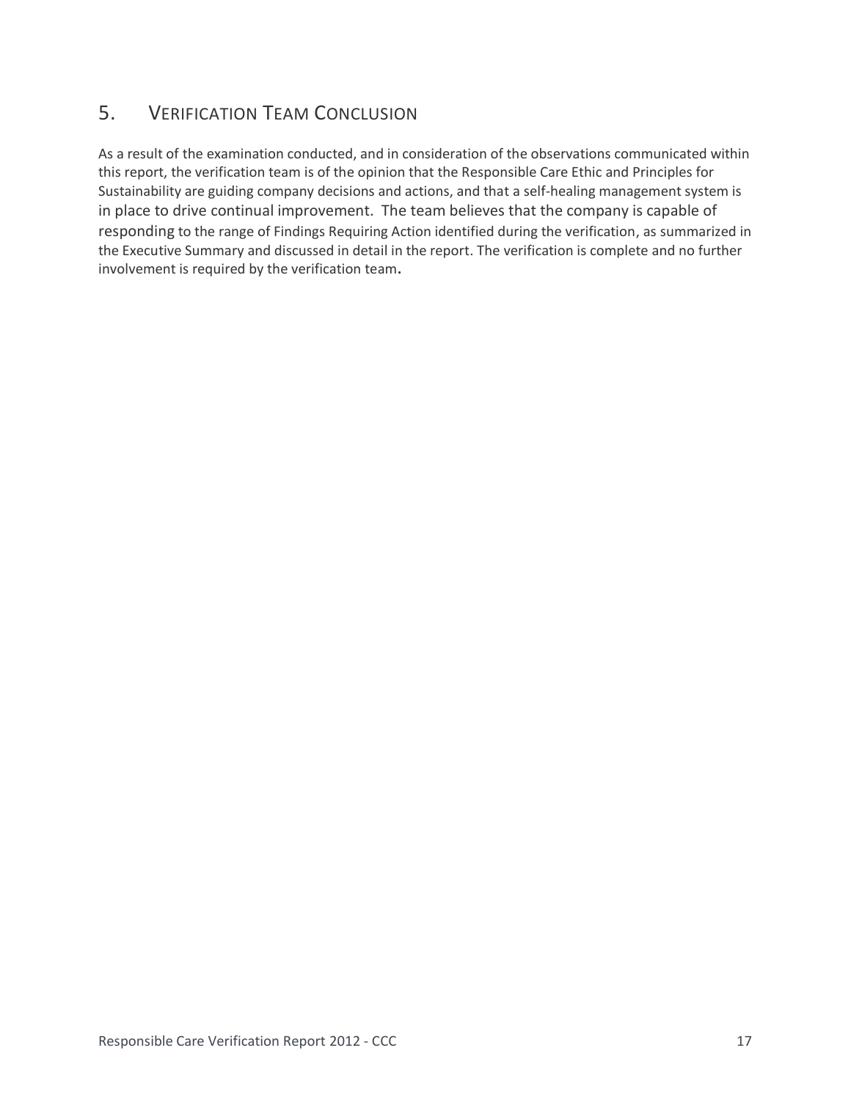# 5. VERIFICATION TEAM CONCLUSION

As a result of the examination conducted, and in consideration of the observations communicated within this report, the verification team is of the opinion that the Responsible Care Ethic and Principles for Sustainability are guiding company decisions and actions, and that a self-healing management system is in place to drive continual improvement. The team believes that the company is capable of responding to the range of Findings Requiring Action identified during the verification, as summarized in the Executive Summary and discussed in detail in the report. The verification is complete and no further involvement is required by the verification team**.**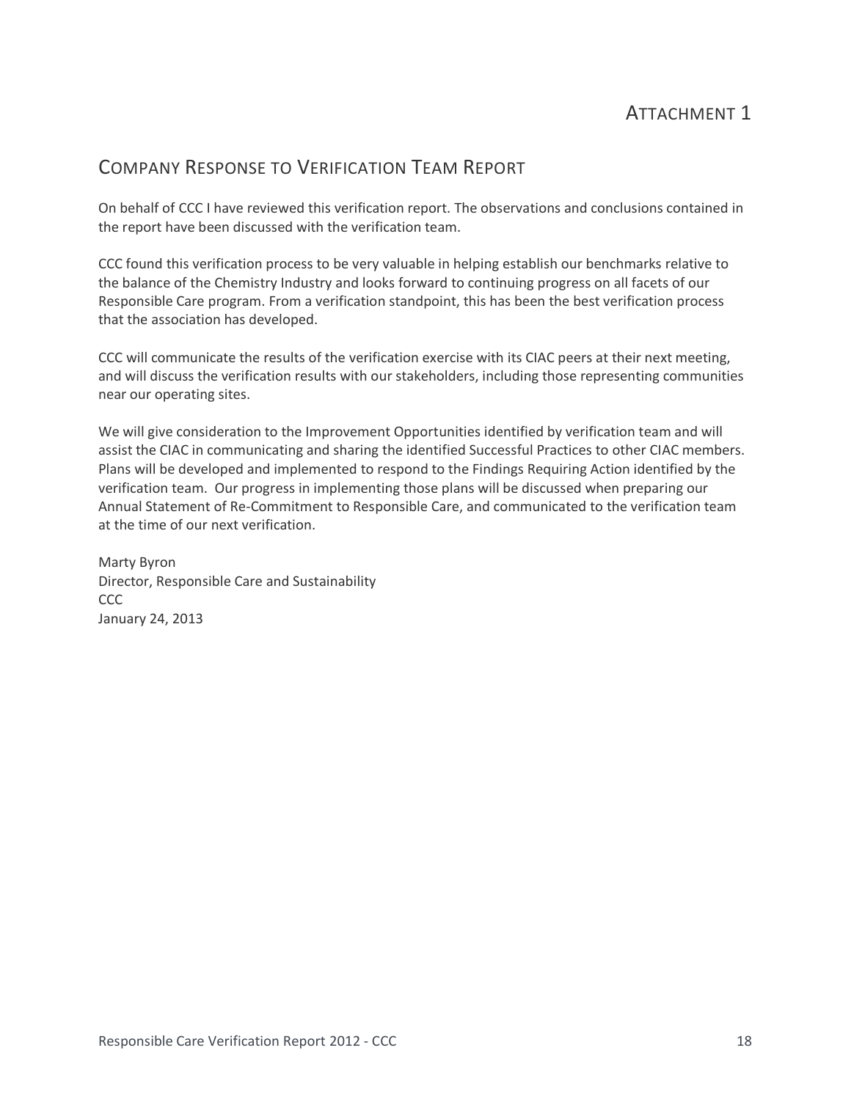# ATTACHMENT 1

## COMPANY RESPONSE TO VERIFICATION TEAM REPORT

On behalf of CCC I have reviewed this verification report. The observations and conclusions contained in the report have been discussed with the verification team.

CCC found this verification process to be very valuable in helping establish our benchmarks relative to the balance of the Chemistry Industry and looks forward to continuing progress on all facets of our Responsible Care program. From a verification standpoint, this has been the best verification process that the association has developed.

CCC will communicate the results of the verification exercise with its CIAC peers at their next meeting, and will discuss the verification results with our stakeholders, including those representing communities near our operating sites.

We will give consideration to the Improvement Opportunities identified by verification team and will assist the CIAC in communicating and sharing the identified Successful Practices to other CIAC members. Plans will be developed and implemented to respond to the Findings Requiring Action identified by the verification team. Our progress in implementing those plans will be discussed when preparing our Annual Statement of Re-Commitment to Responsible Care, and communicated to the verification team at the time of our next verification.

Marty Byron Director, Responsible Care and Sustainability CCC January 24, 2013